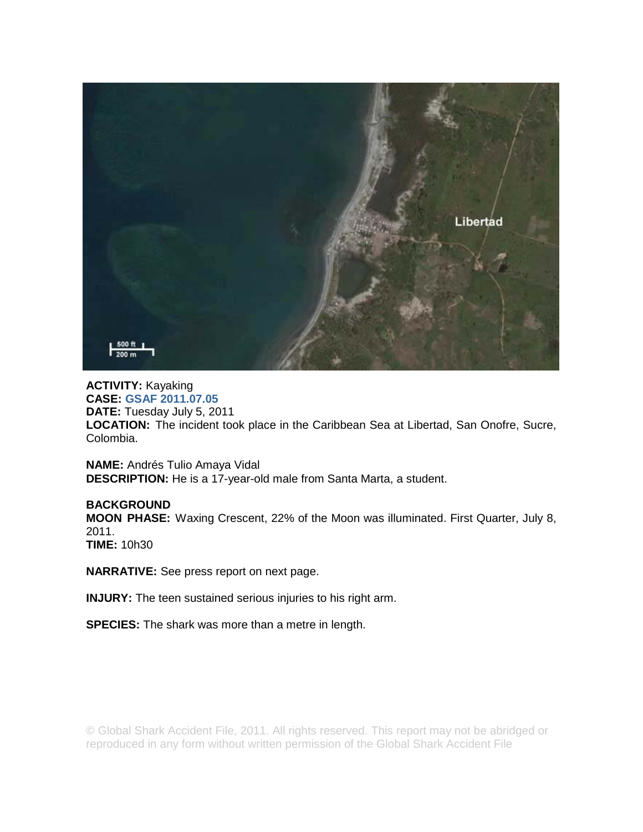

## **ACTIVITY:** Kayaking **CASE: GSAF 2011.07.05 DATE:** Tuesday July 5, 2011 **LOCATION:** The incident took place in the Caribbean Sea at Libertad, San Onofre, Sucre, Colombia.

**NAME:** Andrés Tulio Amaya Vidal **DESCRIPTION:** He is a 17-year-old male from Santa Marta, a student.

## **BACKGROUND**

**MOON PHASE:** Waxing Crescent, 22% of the Moon was illuminated. First Quarter, July 8, 2011. **TIME:** 10h30

**NARRATIVE:** See press report on next page.

**INJURY:** The teen sustained serious injuries to his right arm.

**SPECIES:** The shark was more than a metre in length.

© Global Shark Accident File, 2011. All rights reserved. This report may not be abridged or reproduced in any form without written permission of the Global Shark Accident File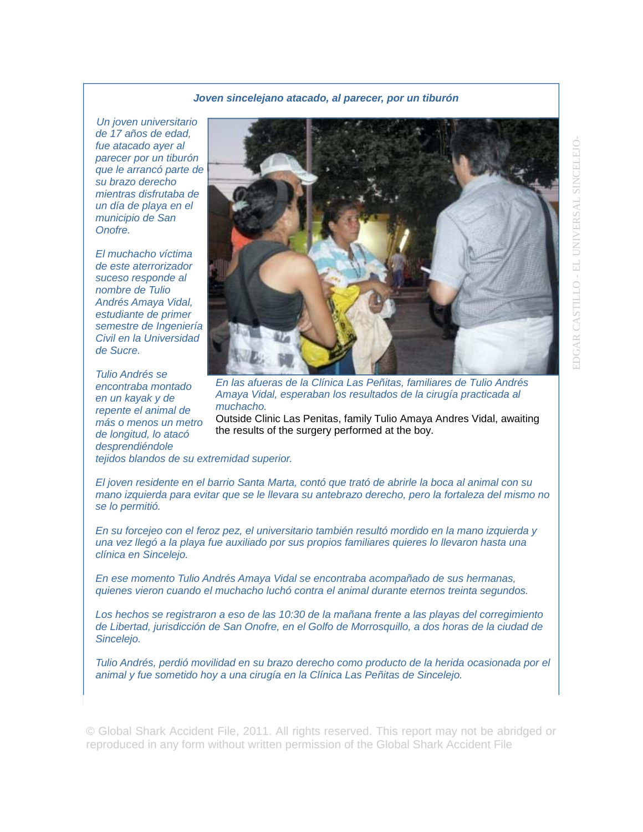## *Joven sincelejano atacado, al parecer, por un tiburón*

*Un joven universitario de 17 años de edad, fue atacado ayer al parecer por un tiburón que le arrancó parte de su brazo derecho mientras disfrutaba de un día de playa en el municipio de San Onofre.* 

*El muchacho víctima de este aterrorizador suceso responde al nombre de Tulio Andrés Amaya Vidal, estudiante de primer semestre de Ingeniería Civil en la Universidad de Sucre.* 

*Tulio Andrés se encontraba montado en un kayak y de repente el animal de más o menos un metro de longitud, lo atacó desprendiéndole* 



*En las afueras de la Clínica Las Peñitas, familiares de Tulio Andrés Amaya Vidal, esperaban los resultados de la cirugía practicada al muchacho.* 

Outside Clinic Las Penitas, family Tulio Amaya Andres Vidal, awaiting the results of the surgery performed at the boy.

*tejidos blandos de su extremidad superior.* 

*El joven residente en el barrio Santa Marta, contó que trató de abrirle la boca al animal con su mano izquierda para evitar que se le llevara su antebrazo derecho, pero la fortaleza del mismo no se lo permitió.* 

*En su forcejeo con el feroz pez, el universitario también resultó mordido en la mano izquierda y una vez llegó a la playa fue auxiliado por sus propios familiares quieres lo llevaron hasta una clínica en Sincelejo.* 

*En ese momento Tulio Andrés Amaya Vidal se encontraba acompañado de sus hermanas, quienes vieron cuando el muchacho luchó contra el animal durante eternos treinta segundos.* 

*Los hechos se registraron a eso de las 10:30 de la mañana frente a las playas del corregimiento de Libertad, jurisdicción de San Onofre, en el Golfo de Morrosquillo, a dos horas de la ciudad de Sincelejo.* 

*Tulio Andrés, perdió movilidad en su brazo derecho como producto de la herida ocasionada por el animal y fue sometido hoy a una cirugía en la Clínica Las Peñitas de Sincelejo.* 

© Global Shark Accident File, 2011. All rights reserved. This report may not be abridged or reproduced in any form without written permission of the Global Shark Accident File